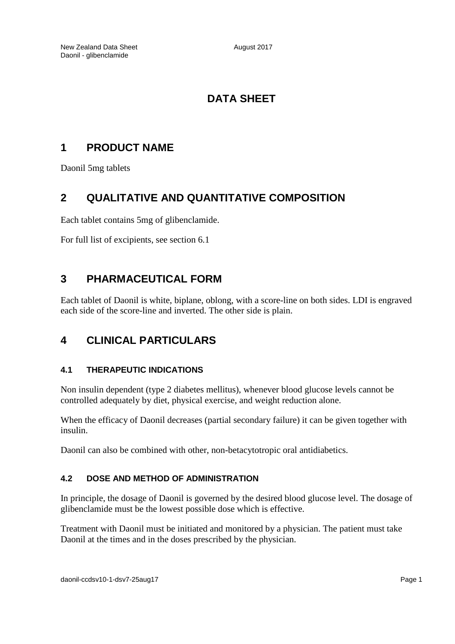# **DATA SHEET**

# **1 PRODUCT NAME**

Daonil 5mg tablets

# **2 QUALITATIVE AND QUANTITATIVE COMPOSITION**

Each tablet contains 5mg of glibenclamide.

For full list of excipients, see section 6.1

# **3 PHARMACEUTICAL FORM**

Each tablet of Daonil is white, biplane, oblong, with a score-line on both sides. LDI is engraved each side of the score-line and inverted. The other side is plain.

# **4 CLINICAL PARTICULARS**

## **4.1 THERAPEUTIC INDICATIONS**

Non insulin dependent (type 2 diabetes mellitus), whenever blood glucose levels cannot be controlled adequately by diet, physical exercise, and weight reduction alone.

When the efficacy of Daonil decreases (partial secondary failure) it can be given together with insulin.

Daonil can also be combined with other, non-betacytotropic oral antidiabetics.

## **4.2 DOSE AND METHOD OF ADMINISTRATION**

In principle, the dosage of Daonil is governed by the desired blood glucose level. The dosage of glibenclamide must be the lowest possible dose which is effective.

Treatment with Daonil must be initiated and monitored by a physician. The patient must take Daonil at the times and in the doses prescribed by the physician.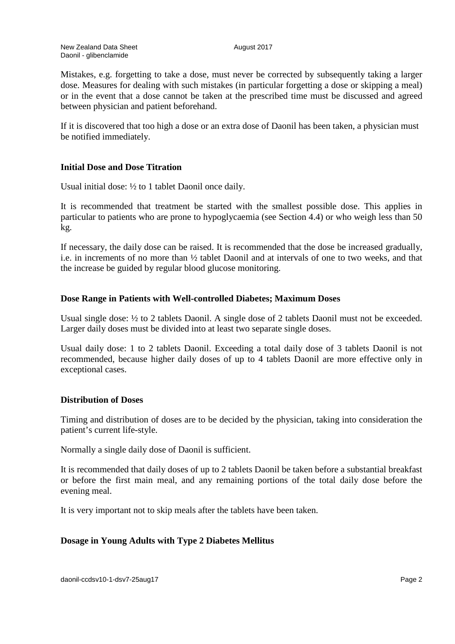Mistakes, e.g. forgetting to take a dose, must never be corrected by subsequently taking a larger dose. Measures for dealing with such mistakes (in particular forgetting a dose or skipping a meal) or in the event that a dose cannot be taken at the prescribed time must be discussed and agreed between physician and patient beforehand.

If it is discovered that too high a dose or an extra dose of Daonil has been taken, a physician must be notified immediately.

#### **Initial Dose and Dose Titration**

Usual initial dose: ½ to 1 tablet Daonil once daily.

It is recommended that treatment be started with the smallest possible dose. This applies in particular to patients who are prone to hypoglycaemia (see Section 4.4) or who weigh less than 50 kg.

If necessary, the daily dose can be raised. It is recommended that the dose be increased gradually, i.e. in increments of no more than ½ tablet Daonil and at intervals of one to two weeks, and that the increase be guided by regular blood glucose monitoring.

#### **Dose Range in Patients with Well-controlled Diabetes; Maximum Doses**

Usual single dose: ½ to 2 tablets Daonil. A single dose of 2 tablets Daonil must not be exceeded. Larger daily doses must be divided into at least two separate single doses.

Usual daily dose: 1 to 2 tablets Daonil. Exceeding a total daily dose of 3 tablets Daonil is not recommended, because higher daily doses of up to 4 tablets Daonil are more effective only in exceptional cases.

## **Distribution of Doses**

Timing and distribution of doses are to be decided by the physician, taking into consideration the patient's current life-style.

Normally a single daily dose of Daonil is sufficient.

It is recommended that daily doses of up to 2 tablets Daonil be taken before a substantial breakfast or before the first main meal, and any remaining portions of the total daily dose before the evening meal.

It is very important not to skip meals after the tablets have been taken.

## **Dosage in Young Adults with Type 2 Diabetes Mellitus**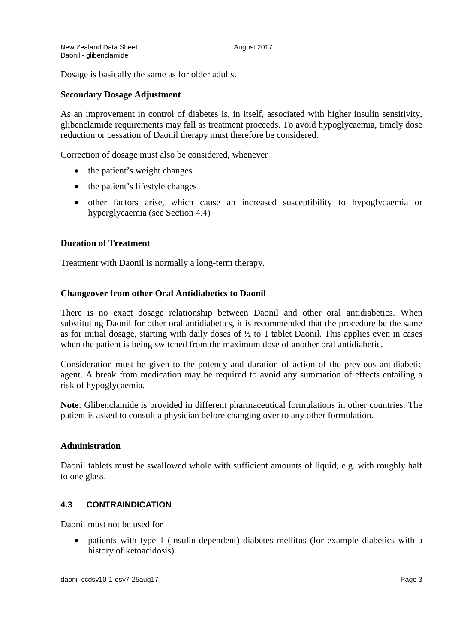Dosage is basically the same as for older adults.

#### **Secondary Dosage Adjustment**

As an improvement in control of diabetes is, in itself, associated with higher insulin sensitivity, glibenclamide requirements may fall as treatment proceeds. To avoid hypoglycaemia, timely dose reduction or cessation of Daonil therapy must therefore be considered.

Correction of dosage must also be considered, whenever

- the patient's weight changes
- the patient's lifestyle changes
- other factors arise, which cause an increased susceptibility to hypoglycaemia or hyperglycaemia (see Section 4.4)

#### **Duration of Treatment**

Treatment with Daonil is normally a long-term therapy.

#### **Changeover from other Oral Antidiabetics to Daonil**

There is no exact dosage relationship between Daonil and other oral antidiabetics. When substituting Daonil for other oral antidiabetics, it is recommended that the procedure be the same as for initial dosage, starting with daily doses of  $\frac{1}{2}$  to 1 tablet Daonil. This applies even in cases when the patient is being switched from the maximum dose of another oral antidiabetic.

Consideration must be given to the potency and duration of action of the previous antidiabetic agent. A break from medication may be required to avoid any summation of effects entailing a risk of hypoglycaemia.

**Note**: Glibenclamide is provided in different pharmaceutical formulations in other countries. The patient is asked to consult a physician before changing over to any other formulation.

#### **Administration**

Daonil tablets must be swallowed whole with sufficient amounts of liquid, e.g. with roughly half to one glass.

## **4.3 CONTRAINDICATION**

Daonil must not be used for

• patients with type 1 (insulin-dependent) diabetes mellitus (for example diabetics with a history of ketoacidosis)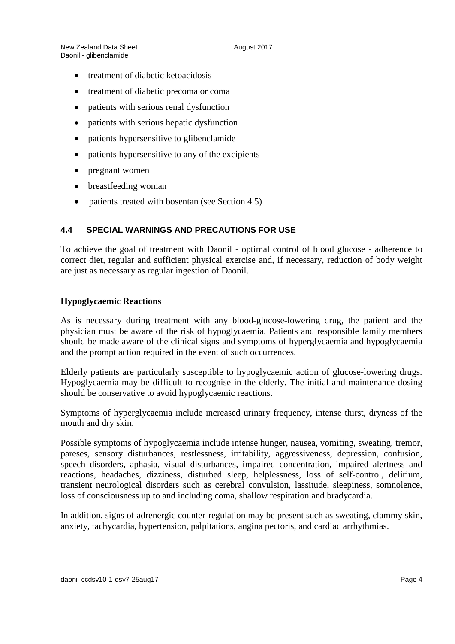- treatment of diabetic ketoacidosis
- treatment of diabetic precoma or coma
- patients with serious renal dysfunction
- patients with serious hepatic dysfunction
- patients hypersensitive to glibenclamide
- patients hypersensitive to any of the excipients
- pregnant women
- breastfeeding woman
- patients treated with bosentan (see Section 4.5)

## **4.4 SPECIAL WARNINGS AND PRECAUTIONS FOR USE**

To achieve the goal of treatment with Daonil - optimal control of blood glucose - adherence to correct diet, regular and sufficient physical exercise and, if necessary, reduction of body weight are just as necessary as regular ingestion of Daonil.

#### **Hypoglycaemic Reactions**

As is necessary during treatment with any blood-glucose-lowering drug, the patient and the physician must be aware of the risk of hypoglycaemia. Patients and responsible family members should be made aware of the clinical signs and symptoms of hyperglycaemia and hypoglycaemia and the prompt action required in the event of such occurrences.

Elderly patients are particularly susceptible to hypoglycaemic action of glucose-lowering drugs. Hypoglycaemia may be difficult to recognise in the elderly. The initial and maintenance dosing should be conservative to avoid hypoglycaemic reactions.

Symptoms of hyperglycaemia include increased urinary frequency, intense thirst, dryness of the mouth and dry skin.

Possible symptoms of hypoglycaemia include intense hunger, nausea, vomiting, sweating, tremor, pareses, sensory disturbances, restlessness, irritability, aggressiveness, depression, confusion, speech disorders, aphasia, visual disturbances, impaired concentration, impaired alertness and reactions, headaches, dizziness, disturbed sleep, helplessness, loss of self-control, delirium, transient neurological disorders such as cerebral convulsion, lassitude, sleepiness, somnolence, loss of consciousness up to and including coma, shallow respiration and bradycardia.

In addition, signs of adrenergic counter-regulation may be present such as sweating, clammy skin, anxiety, tachycardia, hypertension, palpitations, angina pectoris, and cardiac arrhythmias.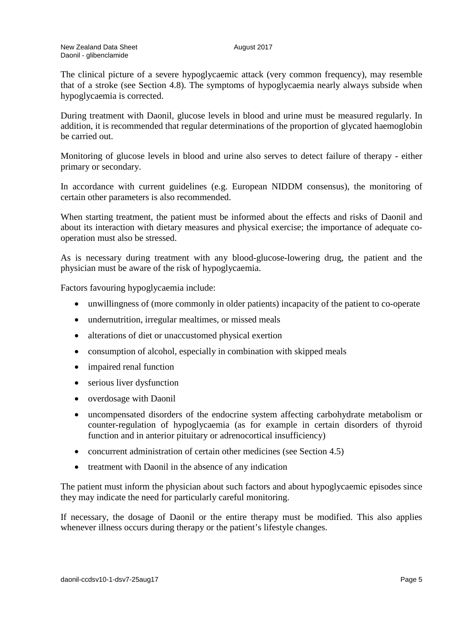The clinical picture of a severe hypoglycaemic attack (very common frequency), may resemble that of a stroke (see Section 4.8). The symptoms of hypoglycaemia nearly always subside when hypoglycaemia is corrected.

During treatment with Daonil, glucose levels in blood and urine must be measured regularly. In addition, it is recommended that regular determinations of the proportion of glycated haemoglobin be carried out.

Monitoring of glucose levels in blood and urine also serves to detect failure of therapy - either primary or secondary.

In accordance with current guidelines (e.g. European NIDDM consensus), the monitoring of certain other parameters is also recommended.

When starting treatment, the patient must be informed about the effects and risks of Daonil and about its interaction with dietary measures and physical exercise; the importance of adequate cooperation must also be stressed.

As is necessary during treatment with any blood-glucose-lowering drug, the patient and the physician must be aware of the risk of hypoglycaemia.

Factors favouring hypoglycaemia include:

- unwillingness of (more commonly in older patients) incapacity of the patient to co-operate
- undernutrition, irregular mealtimes, or missed meals
- alterations of diet or unaccustomed physical exertion
- consumption of alcohol, especially in combination with skipped meals
- impaired renal function
- serious liver dysfunction
- overdosage with Daonil
- uncompensated disorders of the endocrine system affecting carbohydrate metabolism or counter-regulation of hypoglycaemia (as for example in certain disorders of thyroid function and in anterior pituitary or adrenocortical insufficiency)
- concurrent administration of certain other medicines (see Section 4.5)
- treatment with Daonil in the absence of any indication

The patient must inform the physician about such factors and about hypoglycaemic episodes since they may indicate the need for particularly careful monitoring.

If necessary, the dosage of Daonil or the entire therapy must be modified. This also applies whenever illness occurs during therapy or the patient's lifestyle changes.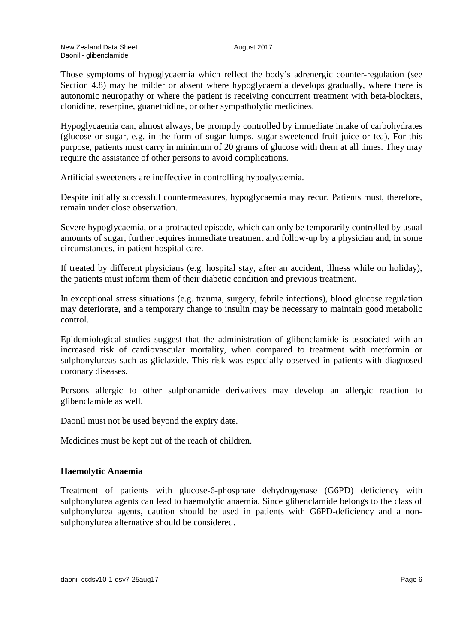Those symptoms of hypoglycaemia which reflect the body's adrenergic counter-regulation (see Section 4.8) may be milder or absent where hypoglycaemia develops gradually, where there is autonomic neuropathy or where the patient is receiving concurrent treatment with beta-blockers, clonidine, reserpine, guanethidine, or other sympatholytic medicines.

Hypoglycaemia can, almost always, be promptly controlled by immediate intake of carbohydrates (glucose or sugar, e.g. in the form of sugar lumps, sugar-sweetened fruit juice or tea). For this purpose, patients must carry in minimum of 20 grams of glucose with them at all times. They may require the assistance of other persons to avoid complications.

Artificial sweeteners are ineffective in controlling hypoglycaemia.

Despite initially successful countermeasures, hypoglycaemia may recur. Patients must, therefore, remain under close observation.

Severe hypoglycaemia, or a protracted episode, which can only be temporarily controlled by usual amounts of sugar, further requires immediate treatment and follow-up by a physician and, in some circumstances, in-patient hospital care.

If treated by different physicians (e.g. hospital stay, after an accident, illness while on holiday), the patients must inform them of their diabetic condition and previous treatment.

In exceptional stress situations (e.g. trauma, surgery, febrile infections), blood glucose regulation may deteriorate, and a temporary change to insulin may be necessary to maintain good metabolic control.

Epidemiological studies suggest that the administration of glibenclamide is associated with an increased risk of cardiovascular mortality, when compared to treatment with metformin or sulphonylureas such as gliclazide. This risk was especially observed in patients with diagnosed coronary diseases.

Persons allergic to other sulphonamide derivatives may develop an allergic reaction to glibenclamide as well.

Daonil must not be used beyond the expiry date.

Medicines must be kept out of the reach of children.

#### **Haemolytic Anaemia**

Treatment of patients with glucose-6-phosphate dehydrogenase (G6PD) deficiency with sulphonylurea agents can lead to haemolytic anaemia. Since glibenclamide belongs to the class of sulphonylurea agents, caution should be used in patients with G6PD-deficiency and a nonsulphonylurea alternative should be considered.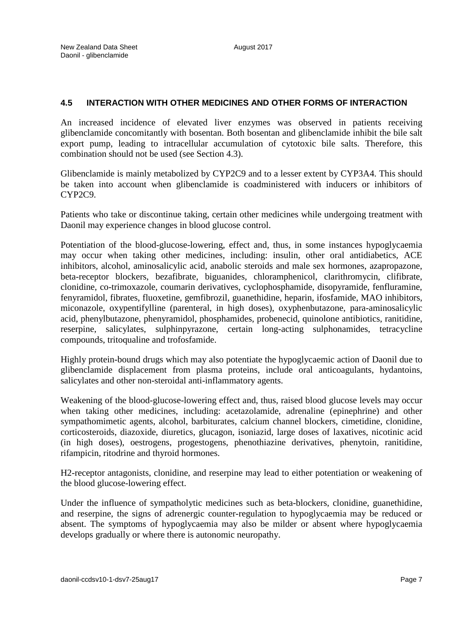## **4.5 INTERACTION WITH OTHER MEDICINES AND OTHER FORMS OF INTERACTION**

An increased incidence of elevated liver enzymes was observed in patients receiving glibenclamide concomitantly with bosentan. Both bosentan and glibenclamide inhibit the bile salt export pump, leading to intracellular accumulation of cytotoxic bile salts. Therefore, this combination should not be used (see Section 4.3).

Glibenclamide is mainly metabolized by CYP2C9 and to a lesser extent by CYP3A4. This should be taken into account when glibenclamide is coadministered with inducers or inhibitors of CYP2C9.

Patients who take or discontinue taking, certain other medicines while undergoing treatment with Daonil may experience changes in blood glucose control.

Potentiation of the blood-glucose-lowering, effect and, thus, in some instances hypoglycaemia may occur when taking other medicines, including: insulin, other oral antidiabetics, ACE inhibitors, alcohol, aminosalicylic acid, anabolic steroids and male sex hormones, azapropazone, beta-receptor blockers, bezafibrate, biguanides, chloramphenicol, clarithromycin, clifibrate, clonidine, co-trimoxazole, coumarin derivatives, cyclophosphamide, disopyramide, fenfluramine, fenyramidol, fibrates, fluoxetine, gemfibrozil, guanethidine, heparin, ifosfamide, MAO inhibitors, miconazole, oxypentifylline (parenteral, in high doses), oxyphenbutazone, para-aminosalicylic acid, phenylbutazone, phenyramidol, phosphamides, probenecid, quinolone antibiotics, ranitidine, reserpine, salicylates, sulphinpyrazone, certain long-acting sulphonamides, tetracycline compounds, tritoqualine and trofosfamide.

Highly protein-bound drugs which may also potentiate the hypoglycaemic action of Daonil due to glibenclamide displacement from plasma proteins, include oral anticoagulants, hydantoins, salicylates and other non-steroidal anti-inflammatory agents.

Weakening of the blood-glucose-lowering effect and, thus, raised blood glucose levels may occur when taking other medicines, including: acetazolamide, adrenaline (epinephrine) and other sympathomimetic agents, alcohol, barbiturates, calcium channel blockers, cimetidine, clonidine, corticosteroids, diazoxide, diuretics, glucagon, isoniazid, large doses of laxatives, nicotinic acid (in high doses), oestrogens, progestogens, phenothiazine derivatives, phenytoin, ranitidine, rifampicin, ritodrine and thyroid hormones.

H2-receptor antagonists, clonidine, and reserpine may lead to either potentiation or weakening of the blood glucose-lowering effect.

Under the influence of sympatholytic medicines such as beta-blockers, clonidine, guanethidine, and reserpine, the signs of adrenergic counter-regulation to hypoglycaemia may be reduced or absent. The symptoms of hypoglycaemia may also be milder or absent where hypoglycaemia develops gradually or where there is autonomic neuropathy.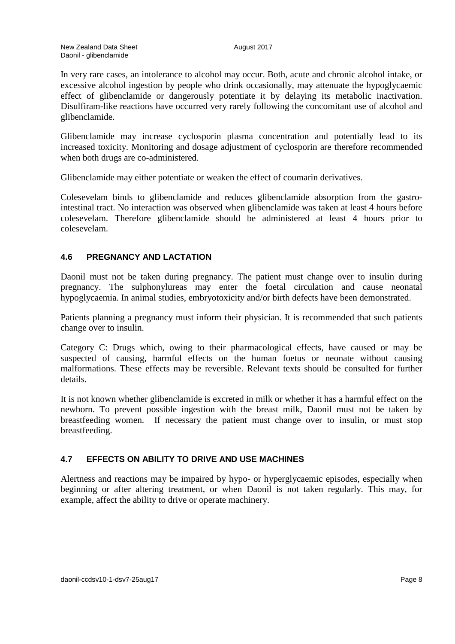In very rare cases, an intolerance to alcohol may occur. Both, acute and chronic alcohol intake, or excessive alcohol ingestion by people who drink occasionally, may attenuate the hypoglycaemic effect of glibenclamide or dangerously potentiate it by delaying its metabolic inactivation. Disulfiram-like reactions have occurred very rarely following the concomitant use of alcohol and glibenclamide.

Glibenclamide may increase cyclosporin plasma concentration and potentially lead to its increased toxicity. Monitoring and dosage adjustment of cyclosporin are therefore recommended when both drugs are co-administered.

Glibenclamide may either potentiate or weaken the effect of coumarin derivatives.

Colesevelam binds to glibenclamide and reduces glibenclamide absorption from the gastrointestinal tract. No interaction was observed when glibenclamide was taken at least 4 hours before colesevelam. Therefore glibenclamide should be administered at least 4 hours prior to colesevelam.

## **4.6 PREGNANCY AND LACTATION**

Daonil must not be taken during pregnancy. The patient must change over to insulin during pregnancy. The sulphonylureas may enter the foetal circulation and cause neonatal hypoglycaemia. In animal studies, embryotoxicity and/or birth defects have been demonstrated.

Patients planning a pregnancy must inform their physician. It is recommended that such patients change over to insulin.

Category C: Drugs which, owing to their pharmacological effects, have caused or may be suspected of causing, harmful effects on the human foetus or neonate without causing malformations. These effects may be reversible. Relevant texts should be consulted for further details.

It is not known whether glibenclamide is excreted in milk or whether it has a harmful effect on the newborn. To prevent possible ingestion with the breast milk, Daonil must not be taken by breastfeeding women. If necessary the patient must change over to insulin, or must stop breastfeeding.

#### **4.7 EFFECTS ON ABILITY TO DRIVE AND USE MACHINES**

Alertness and reactions may be impaired by hypo- or hyperglycaemic episodes, especially when beginning or after altering treatment, or when Daonil is not taken regularly. This may, for example, affect the ability to drive or operate machinery.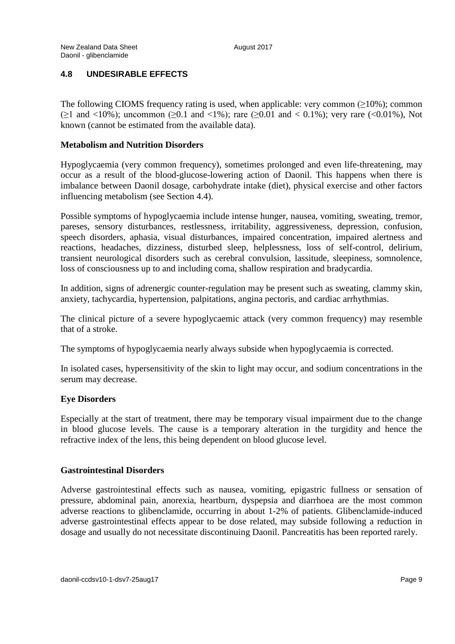## **4.8 UNDESIRABLE EFFECTS**

The following CIOMS frequency rating is used, when applicable: very common  $(\geq 10\%)$ ; common ( $>1$  and  $< 10\%$ ); uncommon ( $> 0.1$  and  $< 1\%$ ); rare ( $> 0.01$  and  $< 0.1\%$ ); very rare ( $< 0.01\%$ ), Not known (cannot be estimated from the available data).

### **Metabolism and Nutrition Disorders**

Hypoglycaemia (very common frequency), sometimes prolonged and even life-threatening, may occur as a result of the blood-glucose-lowering action of Daonil. This happens when there is imbalance between Daonil dosage, carbohydrate intake (diet), physical exercise and other factors influencing metabolism (see Section 4.4).

Possible symptoms of hypoglycaemia include intense hunger, nausea, vomiting, sweating, tremor, pareses, sensory disturbances, restlessness, irritability, aggressiveness, depression, confusion, speech disorders, aphasia, visual disturbances, impaired concentration, impaired alertness and reactions, headaches, dizziness, disturbed sleep, helplessness, loss of self-control, delirium, transient neurological disorders such as cerebral convulsion, lassitude, sleepiness, somnolence, loss of consciousness up to and including coma, shallow respiration and bradycardia.

In addition, signs of adrenergic counter-regulation may be present such as sweating, clammy skin, anxiety, tachycardia, hypertension, palpitations, angina pectoris, and cardiac arrhythmias.

The clinical picture of a severe hypoglycaemic attack (very common frequency) may resemble that of a stroke.

The symptoms of hypoglycaemia nearly always subside when hypoglycaemia is corrected.

In isolated cases, hypersensitivity of the skin to light may occur, and sodium concentrations in the serum may decrease.

#### **Eye Disorders**

Especially at the start of treatment, there may be temporary visual impairment due to the change in blood glucose levels. The cause is a temporary alteration in the turgidity and hence the refractive index of the lens, this being dependent on blood glucose level.

#### **Gastrointestinal Disorders**

Adverse gastrointestinal effects such as nausea, vomiting, epigastric fullness or sensation of pressure, abdominal pain, anorexia, heartburn, dyspepsia and diarrhoea are the most common adverse reactions to glibenclamide, occurring in about 1-2% of patients. Glibenclamide-induced adverse gastrointestinal effects appear to be dose related, may subside following a reduction in dosage and usually do not necessitate discontinuing Daonil. Pancreatitis has been reported rarely.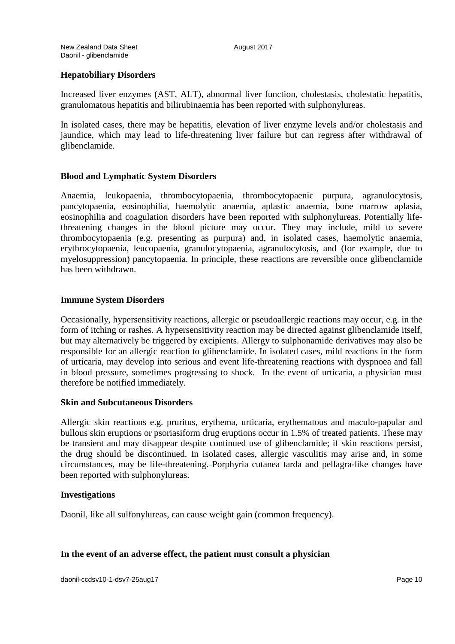## **Hepatobiliary Disorders**

Increased liver enzymes (AST, ALT), abnormal liver function, cholestasis, cholestatic hepatitis, granulomatous hepatitis and bilirubinaemia has been reported with sulphonylureas.

In isolated cases, there may be hepatitis, elevation of liver enzyme levels and/or cholestasis and jaundice, which may lead to life-threatening liver failure but can regress after withdrawal of glibenclamide.

#### **Blood and Lymphatic System Disorders**

Anaemia, leukopaenia, thrombocytopaenia, thrombocytopaenic purpura, agranulocytosis, pancytopaenia, eosinophilia, haemolytic anaemia, aplastic anaemia, bone marrow aplasia, eosinophilia and coagulation disorders have been reported with sulphonylureas. Potentially lifethreatening changes in the blood picture may occur. They may include, mild to severe thrombocytopaenia (e.g. presenting as purpura) and, in isolated cases, haemolytic anaemia, erythrocytopaenia, leucopaenia, granulocytopaenia, agranulocytosis, and (for example, due to myelosuppression) pancytopaenia. In principle, these reactions are reversible once glibenclamide has been withdrawn.

#### **Immune System Disorders**

Occasionally, hypersensitivity reactions, allergic or pseudoallergic reactions may occur, e.g. in the form of itching or rashes. A hypersensitivity reaction may be directed against glibenclamide itself, but may alternatively be triggered by excipients. Allergy to sulphonamide derivatives may also be responsible for an allergic reaction to glibenclamide. In isolated cases, mild reactions in the form of urticaria, may develop into serious and event life-threatening reactions with dyspnoea and fall in blood pressure, sometimes progressing to shock. In the event of urticaria, a physician must therefore be notified immediately.

#### **Skin and Subcutaneous Disorders**

Allergic skin reactions e.g. pruritus, erythema, urticaria, erythematous and maculo-papular and bullous skin eruptions or psoriasiform drug eruptions occur in 1.5% of treated patients. These may be transient and may disappear despite continued use of glibenclamide; if skin reactions persist, the drug should be discontinued. In isolated cases, allergic vasculitis may arise and, in some circumstances, may be life-threatening. Porphyria cutanea tarda and pellagra-like changes have been reported with sulphonylureas.

#### **Investigations**

Daonil, like all sulfonylureas, can cause weight gain (common frequency).

#### **In the event of an adverse effect, the patient must consult a physician**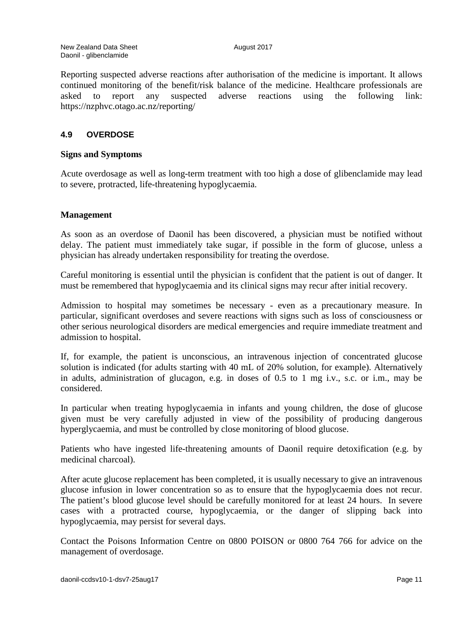Reporting suspected adverse reactions after authorisation of the medicine is important. It allows continued monitoring of the benefit/risk balance of the medicine. Healthcare professionals are asked to report any suspected adverse reactions using the following link: https://nzphvc.otago.ac.nz/reporting/

#### **4.9 OVERDOSE**

#### **Signs and Symptoms**

Acute overdosage as well as long-term treatment with too high a dose of glibenclamide may lead to severe, protracted, life-threatening hypoglycaemia.

#### **Management**

As soon as an overdose of Daonil has been discovered, a physician must be notified without delay. The patient must immediately take sugar, if possible in the form of glucose, unless a physician has already undertaken responsibility for treating the overdose.

Careful monitoring is essential until the physician is confident that the patient is out of danger. It must be remembered that hypoglycaemia and its clinical signs may recur after initial recovery.

Admission to hospital may sometimes be necessary - even as a precautionary measure. In particular, significant overdoses and severe reactions with signs such as loss of consciousness or other serious neurological disorders are medical emergencies and require immediate treatment and admission to hospital.

If, for example, the patient is unconscious, an intravenous injection of concentrated glucose solution is indicated (for adults starting with 40 mL of 20% solution, for example). Alternatively in adults, administration of glucagon, e.g. in doses of 0.5 to 1 mg i.v., s.c. or i.m., may be considered.

In particular when treating hypoglycaemia in infants and young children, the dose of glucose given must be very carefully adjusted in view of the possibility of producing dangerous hyperglycaemia, and must be controlled by close monitoring of blood glucose.

Patients who have ingested life-threatening amounts of Daonil require detoxification (e.g. by medicinal charcoal).

After acute glucose replacement has been completed, it is usually necessary to give an intravenous glucose infusion in lower concentration so as to ensure that the hypoglycaemia does not recur. The patient's blood glucose level should be carefully monitored for at least 24 hours. In severe cases with a protracted course, hypoglycaemia, or the danger of slipping back into hypoglycaemia, may persist for several days.

Contact the Poisons Information Centre on 0800 POISON or 0800 764 766 for advice on the management of overdosage.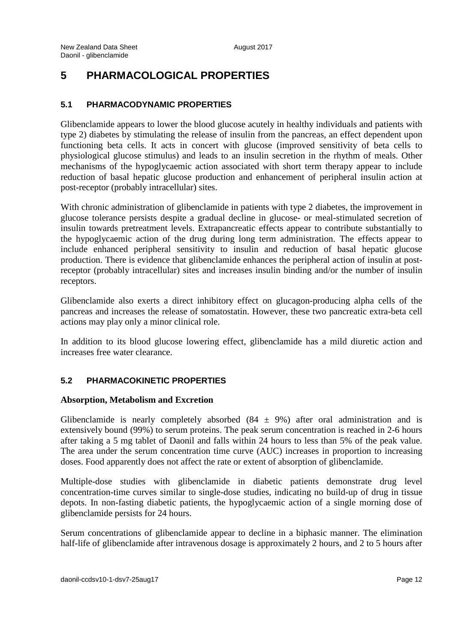# **5 PHARMACOLOGICAL PROPERTIES**

## **5.1 PHARMACODYNAMIC PROPERTIES**

Glibenclamide appears to lower the blood glucose acutely in healthy individuals and patients with type 2) diabetes by stimulating the release of insulin from the pancreas, an effect dependent upon functioning beta cells. It acts in concert with glucose (improved sensitivity of beta cells to physiological glucose stimulus) and leads to an insulin secretion in the rhythm of meals. Other mechanisms of the hypoglycaemic action associated with short term therapy appear to include reduction of basal hepatic glucose production and enhancement of peripheral insulin action at post-receptor (probably intracellular) sites.

With chronic administration of glibenclamide in patients with type 2 diabetes, the improvement in glucose tolerance persists despite a gradual decline in glucose- or meal-stimulated secretion of insulin towards pretreatment levels. Extrapancreatic effects appear to contribute substantially to the hypoglycaemic action of the drug during long term administration. The effects appear to include enhanced peripheral sensitivity to insulin and reduction of basal hepatic glucose production. There is evidence that glibenclamide enhances the peripheral action of insulin at postreceptor (probably intracellular) sites and increases insulin binding and/or the number of insulin receptors.

Glibenclamide also exerts a direct inhibitory effect on glucagon-producing alpha cells of the pancreas and increases the release of somatostatin. However, these two pancreatic extra-beta cell actions may play only a minor clinical role.

In addition to its blood glucose lowering effect, glibenclamide has a mild diuretic action and increases free water clearance.

## **5.2 PHARMACOKINETIC PROPERTIES**

#### **Absorption, Metabolism and Excretion**

Glibenclamide is nearly completely absorbed  $(84 \pm 9\%)$  after oral administration and is extensively bound (99%) to serum proteins. The peak serum concentration is reached in 2-6 hours after taking a 5 mg tablet of Daonil and falls within 24 hours to less than 5% of the peak value. The area under the serum concentration time curve (AUC) increases in proportion to increasing doses. Food apparently does not affect the rate or extent of absorption of glibenclamide.

Multiple-dose studies with glibenclamide in diabetic patients demonstrate drug level concentration-time curves similar to single-dose studies, indicating no build-up of drug in tissue depots. In non-fasting diabetic patients, the hypoglycaemic action of a single morning dose of glibenclamide persists for 24 hours.

Serum concentrations of glibenclamide appear to decline in a biphasic manner. The elimination half-life of glibenclamide after intravenous dosage is approximately 2 hours, and 2 to 5 hours after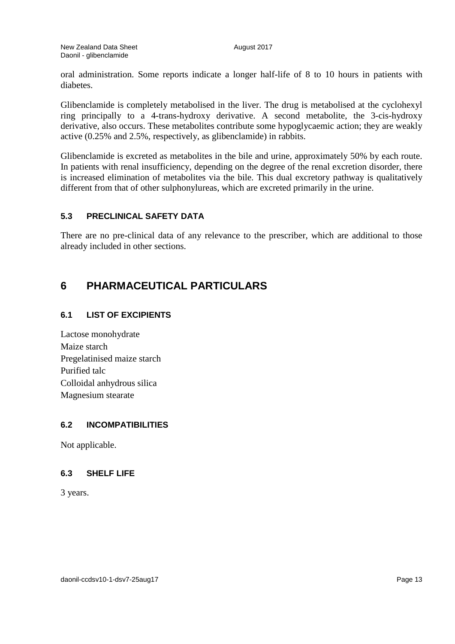oral administration. Some reports indicate a longer half-life of 8 to 10 hours in patients with diabetes.

Glibenclamide is completely metabolised in the liver. The drug is metabolised at the cyclohexyl ring principally to a 4-trans-hydroxy derivative. A second metabolite, the 3-cis-hydroxy derivative, also occurs. These metabolites contribute some hypoglycaemic action; they are weakly active (0.25% and 2.5%, respectively, as glibenclamide) in rabbits.

Glibenclamide is excreted as metabolites in the bile and urine, approximately 50% by each route. In patients with renal insufficiency, depending on the degree of the renal excretion disorder, there is increased elimination of metabolites via the bile. This dual excretory pathway is qualitatively different from that of other sulphonylureas, which are excreted primarily in the urine.

## **5.3 PRECLINICAL SAFETY DATA**

There are no pre-clinical data of any relevance to the prescriber, which are additional to those already included in other sections.

## **6 PHARMACEUTICAL PARTICULARS**

#### **6.1 LIST OF EXCIPIENTS**

Lactose monohydrate Maize starch Pregelatinised maize starch Purified talc Colloidal anhydrous silica Magnesium stearate

## **6.2 INCOMPATIBILITIES**

Not applicable.

#### **6.3 SHELF LIFE**

3 years.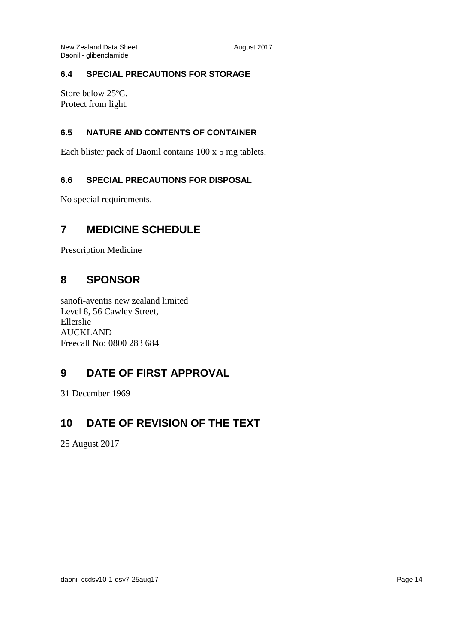## **6.4 SPECIAL PRECAUTIONS FOR STORAGE**

Store below 25ºC. Protect from light.

## **6.5 NATURE AND CONTENTS OF CONTAINER**

Each blister pack of Daonil contains 100 x 5 mg tablets.

## **6.6 SPECIAL PRECAUTIONS FOR DISPOSAL**

No special requirements.

## **7 MEDICINE SCHEDULE**

Prescription Medicine

## **8 SPONSOR**

sanofi-aventis new zealand limited Level 8, 56 Cawley Street, Ellerslie AUCKLAND Freecall No: 0800 283 684

## **9 DATE OF FIRST APPROVAL**

31 December 1969

## **10 DATE OF REVISION OF THE TEXT**

25 August 2017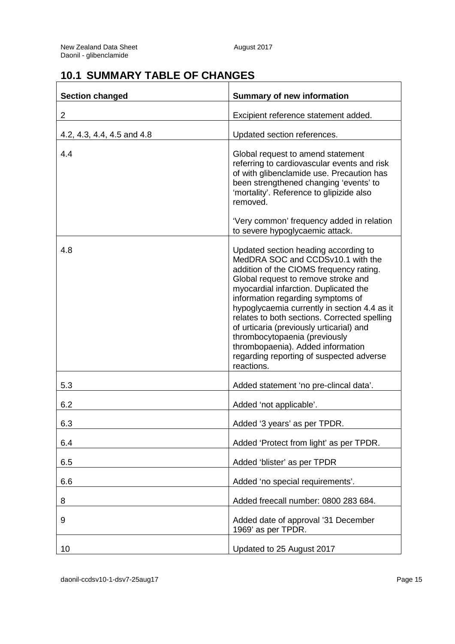# **10.1 SUMMARY TABLE OF CHANGES**

| <b>Section changed</b>     | <b>Summary of new information</b>                                                                                                                                                                                                                                                                                                                                                                                                                                                                                     |
|----------------------------|-----------------------------------------------------------------------------------------------------------------------------------------------------------------------------------------------------------------------------------------------------------------------------------------------------------------------------------------------------------------------------------------------------------------------------------------------------------------------------------------------------------------------|
| $\overline{2}$             | Excipient reference statement added.                                                                                                                                                                                                                                                                                                                                                                                                                                                                                  |
| 4.2, 4.3, 4.4, 4.5 and 4.8 | Updated section references.                                                                                                                                                                                                                                                                                                                                                                                                                                                                                           |
| 4.4                        | Global request to amend statement<br>referring to cardiovascular events and risk<br>of with glibenclamide use. Precaution has<br>been strengthened changing 'events' to<br>'mortality'. Reference to glipizide also<br>removed.                                                                                                                                                                                                                                                                                       |
|                            | 'Very common' frequency added in relation<br>to severe hypoglycaemic attack.                                                                                                                                                                                                                                                                                                                                                                                                                                          |
| 4.8                        | Updated section heading according to<br>MedDRA SOC and CCDSv10.1 with the<br>addition of the CIOMS frequency rating.<br>Global request to remove stroke and<br>myocardial infarction. Duplicated the<br>information regarding symptoms of<br>hypoglycaemia currently in section 4.4 as it<br>relates to both sections. Corrected spelling<br>of urticaria (previously urticarial) and<br>thrombocytopaenia (previously<br>thrombopaenia). Added information<br>regarding reporting of suspected adverse<br>reactions. |
| 5.3                        | Added statement 'no pre-clincal data'.                                                                                                                                                                                                                                                                                                                                                                                                                                                                                |
| 6.2                        | Added 'not applicable'.                                                                                                                                                                                                                                                                                                                                                                                                                                                                                               |
| 6.3                        | Added '3 years' as per TPDR.                                                                                                                                                                                                                                                                                                                                                                                                                                                                                          |
| 6.4                        | Added 'Protect from light' as per TPDR.                                                                                                                                                                                                                                                                                                                                                                                                                                                                               |
| 6.5                        | Added 'blister' as per TPDR                                                                                                                                                                                                                                                                                                                                                                                                                                                                                           |
| 6.6                        | Added 'no special requirements'.                                                                                                                                                                                                                                                                                                                                                                                                                                                                                      |
| 8                          | Added freecall number: 0800 283 684.                                                                                                                                                                                                                                                                                                                                                                                                                                                                                  |
| 9                          | Added date of approval '31 December<br>1969' as per TPDR.                                                                                                                                                                                                                                                                                                                                                                                                                                                             |
| 10                         | Updated to 25 August 2017                                                                                                                                                                                                                                                                                                                                                                                                                                                                                             |